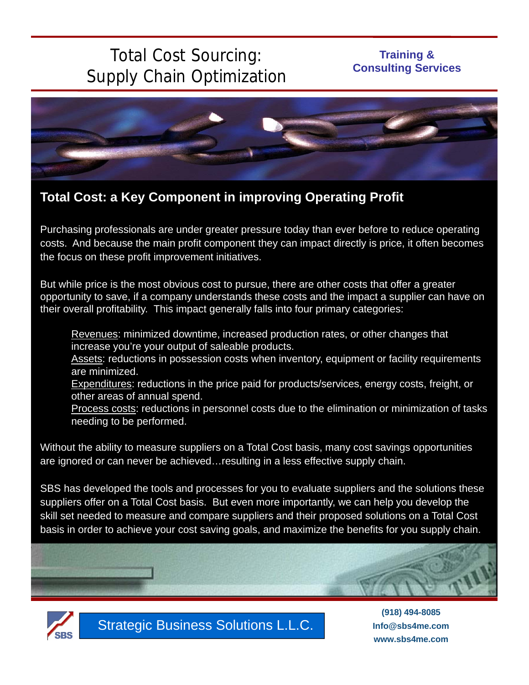# Total Cost Sourcing: Supply Chain Optimization

### **Training & Consulting Services**



## **Total Cost: a Key Component in improving Operating Profit**

Purchasing professionals are under greater pressure today than ever before to reduce operating costs. And because the main profit component they can impact directly is price, it often becomes the focus on these profit improvement initiatives.

But while price is the most obvious cost to pursue, there are other costs that offer a greater opportunity to save, if a company understands these costs and the impact a supplier can have on their overall profitability. This impact generally falls into four primary categories:

Revenues: minimized downtime, increased production rates, or other changes that increase you're your output of saleable products.

Assets: reductions in possession costs when inventory, equipment or facility requirements are minimized.

Expenditures: reductions in the price paid for products/services, energy costs, freight, or other areas of annual spend.

Process costs: reductions in personnel costs due to the elimination or minimization of tasks needing to be performed.

Without the ability to measure suppliers on a Total Cost basis, many cost savings opportunities are ignored or can never be achieved…resulting in a less effective supply chain.

SBS has developed the tools and processes for you to evaluate suppliers and the solutions these suppliers offer on a Total Cost basis. But even more importantly, we can help you develop the skill set needed to measure and compare suppliers and their proposed solutions on a Total Cost basis in order to achieve your cost saving goals, and maximize the benefits for you supply chain.





Strategic Business Solutions L.L.C.

**(918) 494-8085 Info@sbs4me.com www.sbs4me.com**